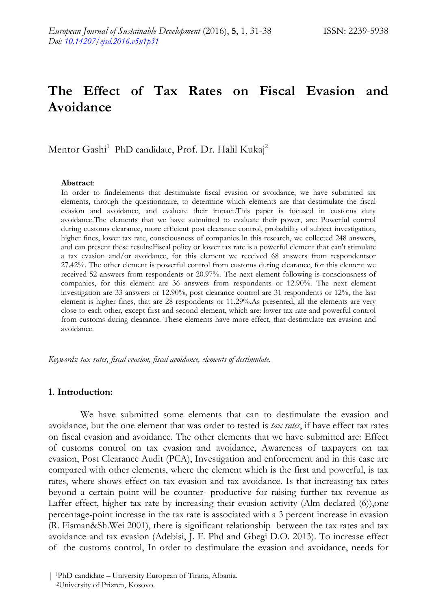# **The Effect of Tax Rates on Fiscal Evasion and Avoidance**

Mentor Gashi<sup>1</sup> PhD candidate, Prof. Dr. Halil Kukaj<sup>2</sup>

#### **Abstract**:

In order to findelements that destimulate fiscal evasion or avoidance, we have submitted six elements, through the questionnaire, to determine which elements are that destimulate the fiscal evasion and avoidance, and evaluate their impact.This paper is focused in customs duty avoidance.The elements that we have submitted to evaluate their power, are: Powerful control during customs clearance, more efficient post clearance control, probability of subject investigation, higher fines, lower tax rate, consciousness of companies.In this research, we collected 248 answers, and can present these results:Fiscal policy or lower tax rate is a powerful element that can't stimulate a tax evasion and/or avoidance, for this element we received 68 answers from respondentsor 27.42%. The other element is powerful control from customs during clearance, for this element we received 52 answers from respondents or 20.97%. The next element following is consciousness of companies, for this element are 36 answers from respondents or 12.90%. The next element investigation are 33 answers or 12.90%, post clearance control are 31 respondents or 12%, the last element is higher fines, that are 28 respondents or 11.29%.As presented, all the elements are very close to each other, except first and second element, which are: lower tax rate and powerful control from customs during clearance. These elements have more effect, that destimulate tax evasion and avoidance.

*Keywords: tax rates, fiscal evasion, fiscal avoidance, elements of destimulate.*

#### **1. Introduction:**

We have submitted some elements that can to destimulate the evasion and avoidance, but the one element that was order to tested is *tax rates*, if have effect tax rates on fiscal evasion and avoidance. The other elements that we have submitted are: Effect of customs control on tax evasion and avoidance, Awareness of taxpayers on tax evasion, Post Clearance Audit (PCA), Investigation and enforcement and in this case are compared with other elements, where the element which is the first and powerful, is tax rates, where shows effect on tax evasion and tax avoidance. Is that increasing tax rates beyond a certain point will be counter- productive for raising further tax revenue as Laffer effect, higher tax rate by increasing their evasion activity (Alm declared (6)),one percentage-point increase in the tax rate is associated with a 3 percent increase in evasion (R. Fisman&Sh.Wei 2001), there is significant relationship between the tax rates and tax avoidance and tax evasion (Adebisi, J. F. Phd and Gbegi D.O. 2013). To increase effect of the customs control, In order to destimulate the evasion and avoidance, needs for

<sup>|</sup> <sup>1</sup>PhD candidate – University European of Tirana, Albania. <sup>2</sup>University of Prizren, Kosovo.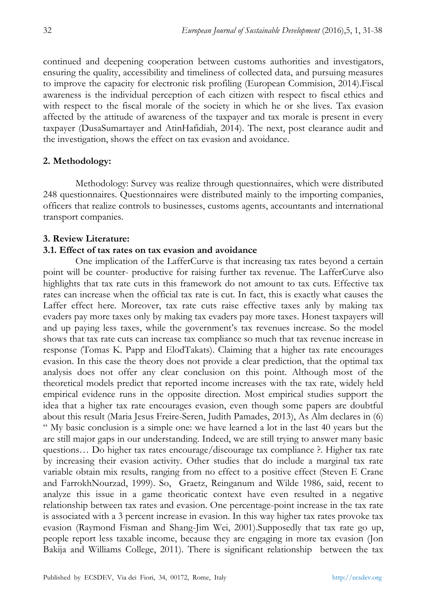continued and deepening cooperation between customs authorities and investigators, ensuring the quality, accessibility and timeliness of collected data, and pursuing measures to improve the capacity for electronic risk profiling (European Commision, 2014).Fiscal awareness is the individual perception of each citizen with respect to fiscal ethics and with respect to the fiscal morale of the society in which he or she lives. Tax evasion affected by the attitude of awareness of the taxpayer and tax morale is present in every taxpayer (DusaSumartayer and AtinHafidiah, 2014). The next, post clearance audit and the investigation, shows the effect on tax evasion and avoidance.

### **2. Methodology:**

Methodology: Survey was realize through questionnaires, which were distributed 248 questionnaires. Questionnaires were distributed mainly to the importing companies, officers that realize controls to businesses, customs agents, accountants and international transport companies.

#### **3. Review Literature:**

### **3.1. Effect of tax rates on tax evasion and avoidance**

One implication of the LafferCurve is that increasing tax rates beyond a certain point will be counter- productive for raising further tax revenue. The LafferCurve also highlights that tax rate cuts in this framework do not amount to tax cuts. Effective tax rates can increase when the official tax rate is cut. In fact, this is exactly what causes the Laffer effect here. Moreover, tax rate cuts raise effective taxes anly by making tax evaders pay more taxes only by making tax evaders pay more taxes. Honest taxpayers will and up paying less taxes, while the government's tax revenues increase. So the model shows that tax rate cuts can increase tax compliance so much that tax revenue increase in response (Tomas K. Papp and ElodTakats). Claiming that a higher tax rate encourages evasion. In this case the theory does not provide a clear prediction, that the optimal tax analysis does not offer any clear conclusion on this point. Although most of the theoretical models predict that reported income increases with the tax rate, widely held empirical evidence runs in the opposite direction. Most empirical studies support the idea that a higher tax rate encourages evasion, even though some papers are doubtful about this result (Maria Jesus Freire-Seren, Judith Pamades, 2013), As Alm declares in (6) " My basic conclusion is a simple one: we have learned a lot in the last 40 years but the are still major gaps in our understanding. Indeed, we are still trying to answer many basic questions… Do higher tax rates encourage/discourage tax compliance ?. Higher tax rate by increasing their evasion activity. Other studies that do include a marginal tax rate variable obtain mix results, ranging from no effect to a positive effect (Steven E Crane and FarrokhNourzad, 1999). So, Graetz, Reinganum and Wilde 1986, said, recent to analyze this issue in a game theoricatic context have even resulted in a negative relationship between tax rates and evasion. One percentage-point increase in the tax rate is associated with a 3 percent increase in evasion. In this way higher tax rates provoke tax evasion (Raymond Fisman and Shang-Jim Wei, 2001).Supposedly that tax rate go up, people report less taxable income, because they are engaging in more tax evasion (Jon Bakija and Williams College, 2011). There is significant relationship between the tax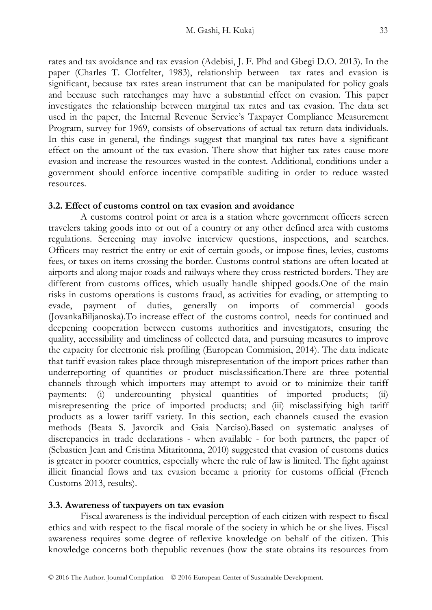rates and tax avoidance and tax evasion (Adebisi, J. F. Phd and Gbegi D.O. 2013). In the paper (Charles T. Clotfelter, 1983), relationship between tax rates and evasion is significant, because tax rates arean instrument that can be manipulated for policy goals and because such ratechanges may have a substantial effect on evasion. This paper investigates the relationship between marginal tax rates and tax evasion. The data set used in the paper, the Internal Revenue Service"s Taxpayer Compliance Measurement Program, survey for 1969, consists of observations of actual tax return data individuals. In this case in general, the findings suggest that marginal tax rates have a significant effect on the amount of the tax evasion. There show that higher tax rates cause more evasion and increase the resources wasted in the contest. Additional, conditions under a government should enforce incentive compatible auditing in order to reduce wasted resources.

### **3.2. Effect of customs control on tax evasion and avoidance**

A customs control point or area is a station where government officers screen travelers taking goods into or out of a country or any other defined area with customs regulations. Screening may involve interview questions, inspections, and searches. Officers may restrict the entry or exit of certain goods, or impose fines, levies, customs fees, or taxes on items crossing the border. Customs control stations are often located at airports and along major roads and railways where they cross restricted borders. They are different from customs offices, which usually handle shipped goods.One of the main risks in customs operations is customs fraud, as activities for evading, or attempting to evade, payment of duties, generally on imports of commercial goods (JovankaBiljanoska).To increase effect of the customs control, needs for continued and deepening cooperation between customs authorities and investigators, ensuring the quality, accessibility and timeliness of collected data, and pursuing measures to improve the capacity for electronic risk profiling (European Commision, 2014). The data indicate that tariff evasion takes place through misrepresentation of the import prices rather than underreporting of quantities or product misclassification.There are three potential channels through which importers may attempt to avoid or to minimize their tariff payments: (i) undercounting physical quantities of imported products; (ii) misrepresenting the price of imported products; and (iii) misclassifying high tariff products as a lower tariff variety. In this section, each channels caused the evasion methods (Beata S. Javorcik and Gaia Narciso).Based on systematic analyses of discrepancies in trade declarations - when available - for both partners, the paper of (Sebastien Jean and Cristina Mitaritonna, 2010) suggested that evasion of customs duties is greater in poorer countries, especially where the rule of law is limited. The fight against illicit financial flows and tax evasion became a priority for customs official (French Customs 2013, results).

## **3.3. Awareness of taxpayers on tax evasion**

Fiscal awareness is the individual perception of each citizen with respect to fiscal ethics and with respect to the fiscal morale of the society in which he or she lives. Fiscal awareness requires some degree of reflexive knowledge on behalf of the citizen. This knowledge concerns both thepublic revenues (how the state obtains its resources from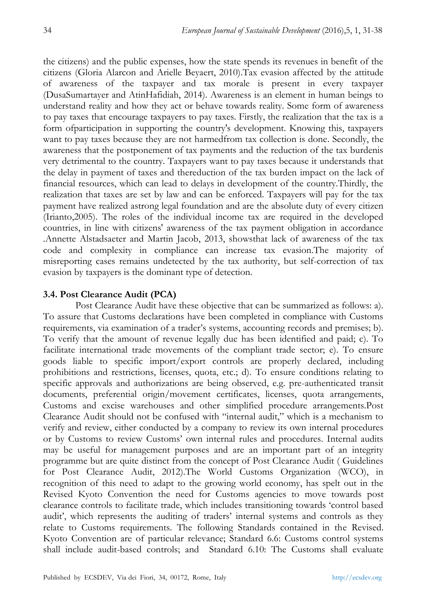the citizens) and the public expenses, how the state spends its revenues in benefit of the citizens (Gloria Alarcon and Arielle Beyaert, 2010).Tax evasion affected by the attitude of awareness of the taxpayer and tax morale is present in every taxpayer (DusaSumartayer and AtinHafidiah, 2014). Awareness is an element in human beings to understand reality and how they act or behave towards reality. Some form of awareness to pay taxes that encourage taxpayers to pay taxes. Firstly, the realization that the tax is a form ofparticipation in supporting the country's development. Knowing this, taxpayers want to pay taxes because they are not harmedfrom tax collection is done. Secondly, the awareness that the postponement of tax payments and the reduction of the tax burdenis very detrimental to the country. Taxpayers want to pay taxes because it understands that the delay in payment of taxes and thereduction of the tax burden impact on the lack of financial resources, which can lead to delays in development of the country.Thirdly, the realization that taxes are set by law and can be enforced. Taxpayers will pay for the tax payment have realized astrong legal foundation and are the absolute duty of every citizen (Irianto,2005). The roles of the individual income tax are required in the developed countries, in line with citizens' awareness of the tax payment obligation in accordance .Annette Alstadsaeter and Martin Jacob, 2013, showsthat lack of awareness of the tax code and complexity in compliance can increase tax evasion.The majority of misreporting cases remains undetected by the tax authority, but self-correction of tax evasion by taxpayers is the dominant type of detection.

# **3.4. Post Clearance Audit (PCA)**

Post Clearance Audit have these objective that can be summarized as follows: a). To assure that Customs declarations have been completed in compliance with Customs requirements, via examination of a trader"s systems, accounting records and premises; b). To verify that the amount of revenue legally due has been identified and paid; c). To facilitate international trade movements of the compliant trade sector; e). To ensure goods liable to specific import/export controls are properly declared, including prohibitions and restrictions, licenses, quota, etc.; d). To ensure conditions relating to specific approvals and authorizations are being observed, e.g. pre-authenticated transit documents, preferential origin/movement certificates, licenses, quota arrangements, Customs and excise warehouses and other simplified procedure arrangements.Post Clearance Audit should not be confused with "internal audit," which is a mechanism to verify and review, either conducted by a company to review its own internal procedures or by Customs to review Customs" own internal rules and procedures. Internal audits may be useful for management purposes and are an important part of an integrity programme but are quite distinct from the concept of Post Clearance Audit ( Guidelines for Post Clearance Audit, 2012).The World Customs Organization (WCO), in recognition of this need to adapt to the growing world economy, has spelt out in the Revised Kyoto Convention the need for Customs agencies to move towards post clearance controls to facilitate trade, which includes transitioning towards "control based audit", which represents the auditing of traders" internal systems and controls as they relate to Customs requirements. The following Standards contained in the Revised. Kyoto Convention are of particular relevance; Standard 6.6: Customs control systems shall include audit-based controls; and Standard 6.10: The Customs shall evaluate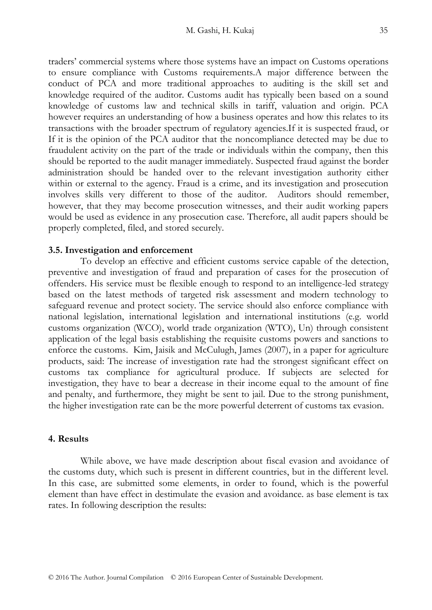traders" commercial systems where those systems have an impact on Customs operations to ensure compliance with Customs requirements.A major difference between the conduct of PCA and more traditional approaches to auditing is the skill set and knowledge required of the auditor. Customs audit has typically been based on a sound knowledge of customs law and technical skills in tariff, valuation and origin. PCA however requires an understanding of how a business operates and how this relates to its transactions with the broader spectrum of regulatory agencies.If it is suspected fraud, or If it is the opinion of the PCA auditor that the noncompliance detected may be due to fraudulent activity on the part of the trade or individuals within the company, then this should be reported to the audit manager immediately. Suspected fraud against the border administration should be handed over to the relevant investigation authority either within or external to the agency. Fraud is a crime, and its investigation and prosecution involves skills very different to those of the auditor. Auditors should remember, however, that they may become prosecution witnesses, and their audit working papers would be used as evidence in any prosecution case. Therefore, all audit papers should be

#### **3.5. Investigation and enforcement**

properly completed, filed, and stored securely.

To develop an effective and efficient customs service capable of the detection, preventive and investigation of fraud and preparation of cases for the prosecution of offenders. His service must be flexible enough to respond to an intelligence-led strategy based on the latest methods of targeted risk assessment and modern technology to safeguard revenue and protect society. The service should also enforce compliance with national legislation, international legislation and international institutions (e.g. world customs organization (WCO), world trade organization (WTO), Un) through consistent application of the legal basis establishing the requisite customs powers and sanctions to enforce the customs. Kim, Jaisik and McCulugh, James (2007), in a paper for agriculture products, said: The increase of investigation rate had the strongest significant effect on customs tax compliance for agricultural produce. If subjects are selected for investigation, they have to bear a decrease in their income equal to the amount of fine and penalty, and furthermore, they might be sent to jail. Due to the strong punishment, the higher investigation rate can be the more powerful deterrent of customs tax evasion.

## **4. Results**

While above, we have made description about fiscal evasion and avoidance of the customs duty, which such is present in different countries, but in the different level. In this case, are submitted some elements, in order to found, which is the powerful element than have effect in destimulate the evasion and avoidance. as base element is tax rates. In following description the results: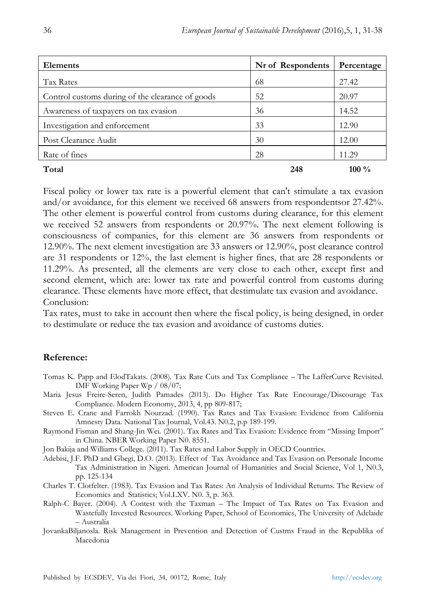| <b>Elements</b>                                  | Nr of Respondents | Percentage |
|--------------------------------------------------|-------------------|------------|
| Tax Rates                                        | 68                | 27.42      |
| Control customs during of the clearance of goods | 52                | 20.97      |
| Awareness of taxpayers on tax evasion            | 36                | 14.52      |
| Investigation and enforcement                    | 33                | 12.90      |
| Post Clearance Audit                             | 30                | 12.00      |
| Rate of fines                                    | 28                | 11.29      |
| Total                                            | 248               | 100 $\%$   |

Fiscal policy or lower tax rate is a powerful element that can't stimulate a tax evasion and/or avoidance, for this element we received 68 answers from respondentsor 27.42%. The other element is powerful control from customs during clearance, for this element we received 52 answers from respondents or 20.97%. The next element following is consciousness of companies, for this element are 36 answers from respondents or 12.90%. The next element investigation are 33 answers or 12.90%, post clearance control are 31 respondents or 12%, the last element is higher fines, that are 28 respondents or 11.29%. As presented, all the elements are very close to each other, except first and second element, which are: lower tax rate and powerful control from customs during clearance. These elements have more effect, that destimulate tax evasion and avoidance. Conclusion:

Tax rates, must to take in account then where the fiscal policy, is being designed, in order to destimulate or reduce the tax evasion and avoidance of customs duties.

# **Reference:**

- Tomas K. Papp and ElodTakats. (2008). Tax Rate Cuts and Tax Compliance The LafferCurve Revisited. IMF Working Paper Wp / 08/07;
- Maria Jesus Freire-Seren, Judith Pamades (2013). Do Higher Tax Rate Encourage/Discourage Tax Compliance. Modern Economy, 2013, 4, pp 809-817;
- Steven E. Crane and Farrokh Nourzad. (1990). Tax Rates and Tax Evasion: Evidence from California Amnesty Data. National Tax Journal, Vol.43. N0.2, p.p 189-199.
- Raymond Fisman and Shang-Jin Wei. (2001). Tax Rates and Tax Evasion: Evidence from "Missing Import" in China. NBER Working Paper N0. 8551.
- Jon Bakija and Williams College. (2011). Tax Rates and Labor Supply in OECD Countries.
- Adebisi, J.F. PhD and Gbegi, D.O. (2013). Effect of Tax Avoidance and Tax Evasion on Personale Income Tax Administration in Nigeri. American Journal of Humanities and Social Science, Vol 1, N0.3, pp. 125-134
- Charles T. Clotfelter. (1983). Tax Evasion and Tax Rates: An Analysis of Individual Returns. The Review of Economics and Statistics; Vol.LXV. N0. 3, p. 363.
- Ralph-C Bayer. (2004). A Contest with the Taxman The Impact of Tax Rates on Tax Evasion and Wastefully Invested Resources. Working Paper, School of Economics, The University of Adelaide – Australia
- JovankaBiljanosla. Risk Management in Prevention and Detection of Custms Fraud in the Republika of Macedonia